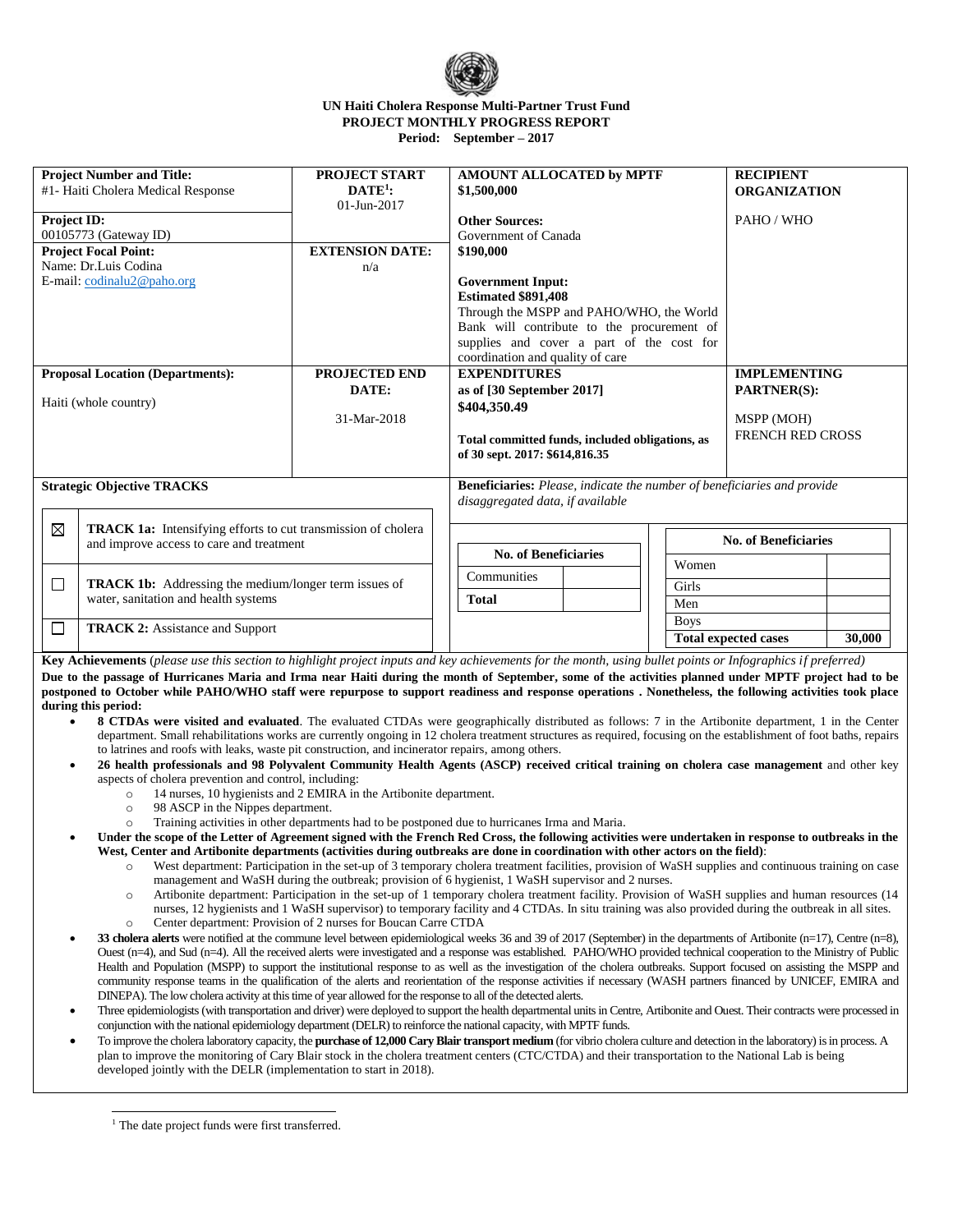

## **UN Haiti Cholera Response Multi-Partner Trust Fund PROJECT MONTHLY PROGRESS REPORT Period: September – 2017**

| <b>Project Number and Title:</b><br>#1- Haiti Cholera Medical Response                                    |                                                                                                           | <b>PROJECT START</b><br>$DATE1$ :<br>$01 - Jun - 2017$ | AMOUNT ALLOCATED by MPTF<br>\$1,500,000                                           |             |                             | <b>RECIPIENT</b><br><b>ORGANIZATION</b> |  |  |
|-----------------------------------------------------------------------------------------------------------|-----------------------------------------------------------------------------------------------------------|--------------------------------------------------------|-----------------------------------------------------------------------------------|-------------|-----------------------------|-----------------------------------------|--|--|
| Project ID:<br>00105773 (Gateway ID)                                                                      |                                                                                                           |                                                        | <b>Other Sources:</b><br>Government of Canada                                     |             |                             | PAHO / WHO                              |  |  |
| <b>Project Focal Point:</b>                                                                               |                                                                                                           | <b>EXTENSION DATE:</b>                                 | \$190,000                                                                         |             |                             |                                         |  |  |
| Name: Dr.Luis Codina<br>E-mail: codinalu2@paho.org                                                        |                                                                                                           | n/a                                                    | <b>Government Input:</b>                                                          |             |                             |                                         |  |  |
|                                                                                                           |                                                                                                           |                                                        | <b>Estimated \$891.408</b>                                                        |             |                             |                                         |  |  |
|                                                                                                           |                                                                                                           |                                                        | Through the MSPP and PAHO/WHO, the World                                          |             |                             |                                         |  |  |
|                                                                                                           |                                                                                                           |                                                        | Bank will contribute to the procurement of                                        |             |                             |                                         |  |  |
|                                                                                                           |                                                                                                           |                                                        | supplies and cover a part of the cost for                                         |             |                             |                                         |  |  |
|                                                                                                           |                                                                                                           |                                                        | coordination and quality of care                                                  |             |                             |                                         |  |  |
| <b>Proposal Location (Departments):</b>                                                                   |                                                                                                           | <b>PROJECTED END</b>                                   | <b>EXPENDITURES</b>                                                               |             |                             | <b>IMPLEMENTING</b>                     |  |  |
| DATE:                                                                                                     |                                                                                                           |                                                        | as of [30 September 2017]                                                         |             |                             | <b>PARTNER(S):</b>                      |  |  |
| Haiti (whole country)                                                                                     |                                                                                                           | 31-Mar-2018                                            | \$404,350.49                                                                      |             |                             | MSPP (MOH)                              |  |  |
|                                                                                                           |                                                                                                           |                                                        |                                                                                   |             |                             | <b>FRENCH RED CROSS</b>                 |  |  |
|                                                                                                           |                                                                                                           |                                                        | Total committed funds, included obligations, as<br>of 30 sept. 2017: \$614,816.35 |             |                             |                                         |  |  |
|                                                                                                           |                                                                                                           |                                                        |                                                                                   |             |                             |                                         |  |  |
| <b>Strategic Objective TRACKS</b>                                                                         |                                                                                                           |                                                        | <b>Beneficiaries:</b> Please, indicate the number of beneficiaries and provide    |             |                             |                                         |  |  |
|                                                                                                           |                                                                                                           |                                                        | disaggregated data, if available                                                  |             |                             |                                         |  |  |
|                                                                                                           |                                                                                                           |                                                        |                                                                                   |             |                             |                                         |  |  |
| ⊠                                                                                                         | TRACK 1a: Intensifying efforts to cut transmission of cholera<br>and improve access to care and treatment |                                                        |                                                                                   |             |                             | <b>No. of Beneficiaries</b>             |  |  |
|                                                                                                           |                                                                                                           |                                                        | <b>No. of Beneficiaries</b><br>Women                                              |             |                             |                                         |  |  |
| <b>TRACK 1b:</b> Addressing the medium/longer term issues of<br>□<br>water, sanitation and health systems |                                                                                                           | Communities                                            |                                                                                   |             |                             |                                         |  |  |
|                                                                                                           |                                                                                                           |                                                        | Girls<br><b>Total</b>                                                             |             |                             |                                         |  |  |
|                                                                                                           |                                                                                                           |                                                        |                                                                                   | Men         |                             |                                         |  |  |
| □<br><b>TRACK 2:</b> Assistance and Support                                                               |                                                                                                           |                                                        |                                                                                   | <b>Boys</b> |                             |                                         |  |  |
|                                                                                                           |                                                                                                           |                                                        |                                                                                   |             | <b>Total expected cases</b> | 30,000                                  |  |  |

**Key Achievements** (*please use this section to highlight project inputs and key achievements for the month, using bullet points or Infographics if preferred)* **Due to the passage of Hurricanes Maria and Irma near Haiti during the month of September, some of the activities planned under MPTF project had to be postponed to October while PAHO/WHO staff were repurpose to support readiness and response operations . Nonetheless, the following activities took place during this period:**

- **8 CTDAs were visited and evaluated**. The evaluated CTDAs were geographically distributed as follows: 7 in the Artibonite department, 1 in the Center department. Small rehabilitations works are currently ongoing in 12 cholera treatment structures as required, focusing on the establishment of foot baths, repairs to latrines and roofs with leaks, waste pit construction, and incinerator repairs, among others.
	- **26 health professionals and 98 Polyvalent Community Health Agents (ASCP) received critical training on cholera case management** and other key aspects of cholera prevention and control, including:
		- o 14 nurses, 10 hygienists and 2 EMIRA in the Artibonite department.
		- o 98 ASCP in the Nippes department.
		- o Training activities in other departments had to be postponed due to hurricanes Irma and Maria.
- **Under the scope of the Letter of Agreement signed with the French Red Cross, the following activities were undertaken in response to outbreaks in the West, Center and Artibonite departments (activities during outbreaks are done in coordination with other actors on the field)**:
	- o West department: Participation in the set-up of 3 temporary cholera treatment facilities, provision of WaSH supplies and continuous training on case management and WaSH during the outbreak; provision of 6 hygienist, 1 WaSH supervisor and 2 nurses.
	- o Artibonite department: Participation in the set-up of 1 temporary cholera treatment facility. Provision of WaSH supplies and human resources (14 nurses, 12 hygienists and 1 WaSH supervisor) to temporary facility and 4 CTDAs. In situ training was also provided during the outbreak in all sites. Center department: Provision of 2 nurses for Boucan Carre CTDA
- **33 cholera alerts** were notified at the commune level between epidemiological weeks 36 and 39 of 2017 (September) in the departments of Artibonite (n=17), Centre (n=8), Ouest (n=4), and Sud (n=4). All the received alerts were investigated and a response was established. PAHO/WHO provided technical cooperation to the Ministry of Public Health and Population (MSPP) to support the institutional response to as well as the investigation of the cholera outbreaks. Support focused on assisting the MSPP and community response teams in the qualification of the alerts and reorientation of the response activities if necessary (WASH partners financed by UNICEF, EMIRA and DINEPA). The low cholera activity at this time of year allowed for the response to all of the detected alerts.
- Three epidemiologists (with transportation and driver) were deployed to support the health departmental unitsin Centre, Artibonite and Ouest. Their contracts were processed in conjunction with the national epidemiology department (DELR) to reinforce the national capacity, with MPTF funds.
- To improve the cholera laboratory capacity, the **purchase of 12,000 Cary Blair transport medium** (for vibrio cholera culture and detection in the laboratory) is in process. A plan to improve the monitoring of Cary Blair stock in the cholera treatment centers (CTC/CTDA) and their transportation to the National Lab is being developed jointly with the DELR (implementation to start in 2018).

j <sup>1</sup> The date project funds were first transferred.